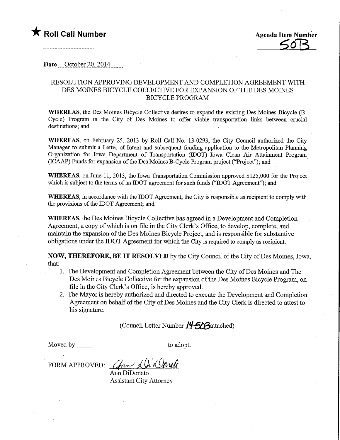## **T** Roll Call Number Agenda Item Number

 $50B$ 

#### Date  $\quad$  October 20, 2014

### RESOLUTION APPROVING DEVELOPMENT AND COMPLETION AGREEMENT WITH DES MOINES BICYCLE COLLECTIVE FOR EXPANSION OF THE DES MOINES BICYCLE PROGRAM

WHEREAS, the Des Moines Bicycle Collective desires to expand the existing Des Moines Bicycle (B-Cycle) Program in the City of Des Moines to offer viable transportation links between crucial destinations; and

WHEREAS, on February 25, 2013 by Roll Call No. 13-0293, the City Council authorized the City Manager to submit a Letter of Intent and subsequent funding application to the Metropolitan Planning Organization for Iowa Department of Transportation (IDOT) Iowa Clean Air Attainment Program (ICAAP) Funds for expansion of the Des Moines B-Cycle Program project ("Project"); and

WHEREAS, on June 11, 2013, the Iowa Transportation Commission approved \$125,000 for the Project which is subject to the terms of an IDOT agreement for such funds ("IDOT Agreement"); and

WHEREAS, in accordance with the IDOT Agreement, the City is responsible as recipient to comply with the provisions of the IDOT Agreement; and

WHEREAS, the Des Moines Bicycle Collective has agreed in a Development and Completion Agreement, a copy of which is on file in the City Clerk's Office, to develop, complete, and maintain the expansion of the Des Moines Bicycle Project, and is responsible for substantive obligations under the IDOT Agreement for which the City is required to comply as recipient.

NOW, THEREFORE, BE IT RESOLVED by the City Council of the City of Des Moines, Iowa, that:

- 1. The Development and Completion Agreement between the City of Des Moines and The Des Moines Bicycle Collective for the expansion of the Des Moines Bicycle Program, on file in the City Clerk's Office, is hereby approved.
- 2. The Mayor is hereby authorized and directed to execute the Development and Completion Agreement on behalf of the City of Des Moines and the City Clerk is directed to attest to his signature.

(Council Letter Number  $/4^{\sim}$  Sattached)

Moved by \_ to adopt.

FORM APPROVED: Com Ali Donati Am DiDonato

Assistant City Attorney